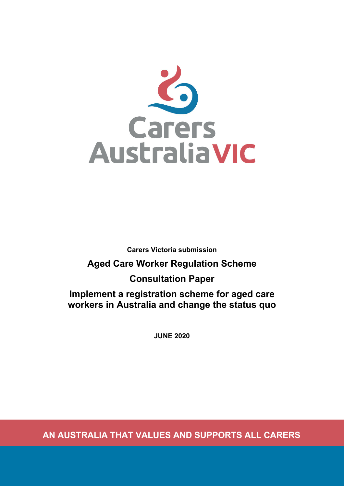

**Carers Victoria submission**

# **Aged Care Worker Regulation Scheme**

# **Consultation Paper**

**Implement a registration scheme for aged care workers in Australia and change the status quo**

**JUNE 2020**

**AN AUSTRALIA THAT VALUES AND SUPPORTS ALL CARERS**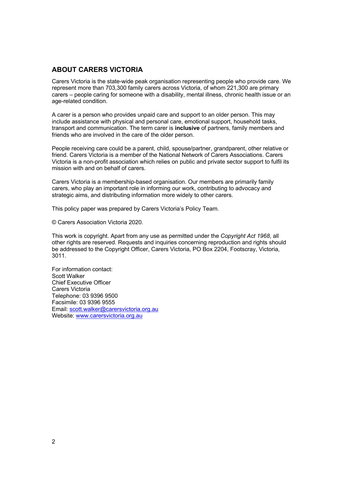## **ABOUT CARERS VICTORIA**

Carers Victoria is the state-wide peak organisation representing people who provide care. We represent more than 703,300 family carers across Victoria, of whom 221,300 are primary carers – people caring for someone with a disability, mental illness, chronic health issue or an age-related condition.

A carer is a person who provides unpaid care and support to an older person. This may include assistance with physical and personal care, emotional support, household tasks, transport and communication. The term carer is **inclusive** of partners, family members and friends who are involved in the care of the older person.

People receiving care could be a parent, child, spouse/partner, grandparent, other relative or friend. Carers Victoria is a member of the National Network of Carers Associations. Carers Victoria is a non-profit association which relies on public and private sector support to fulfil its mission with and on behalf of carers.

Carers Victoria is a membership-based organisation. Our members are primarily family carers, who play an important role in informing our work, contributing to advocacy and strategic aims, and distributing information more widely to other carers.

This policy paper was prepared by Carers Victoria's Policy Team.

© Carers Association Victoria 2020.

This work is copyright. Apart from any use as permitted under the *Copyright Act 1968*, all other rights are reserved. Requests and inquiries concerning reproduction and rights should be addressed to the Copyright Officer, Carers Victoria, PO Box 2204, Footscray, Victoria, 3011.

For information contact: Scott Walker Chief Executive Officer Carers Victoria Telephone: 03 9396 9500 Facsimile: 03 9396 9555 Email: scott.walker@carersvictoria.org.au Website: www.carersvictoria.org.au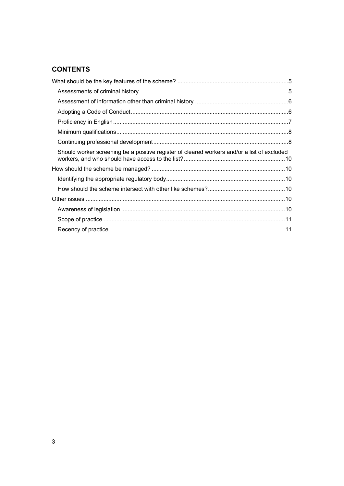## **CONTENTS**

| Should worker screening be a positive register of cleared workers and/or a list of excluded |  |
|---------------------------------------------------------------------------------------------|--|
|                                                                                             |  |
|                                                                                             |  |
|                                                                                             |  |
|                                                                                             |  |
|                                                                                             |  |
|                                                                                             |  |
|                                                                                             |  |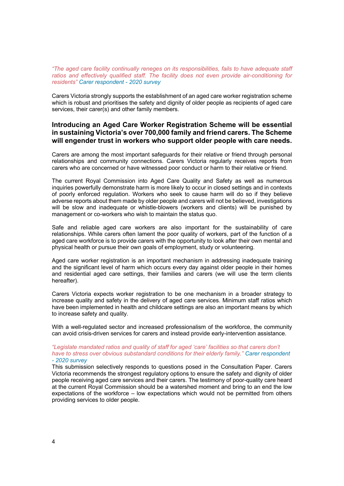*"The aged care facility continually reneges on its responsibilities, fails to have adequate staff ratios and effectively qualified staff. The facility does not even provide air-conditioning for residents" Carer respondent - 2020 survey*

Carers Victoria strongly supports the establishment of an aged care worker registration scheme which is robust and prioritises the safety and dignity of older people as recipients of aged care services, their carer(s) and other family members.

#### **Introducing an Aged Care Worker Registration Scheme will be essential in sustaining Victoria's over 700,000 family and friend carers. The Scheme will engender trust in workers who support older people with care needs.**

Carers are among the most important safeguards for their relative or friend through personal relationships and community connections. Carers Victoria regularly receives reports from carers who are concerned or have witnessed poor conduct or harm to their relative or friend.

The current Royal Commission into Aged Care Quality and Safety as well as numerous inquiries powerfully demonstrate harm is more likely to occur in closed settings and in contexts of poorly enforced regulation. Workers who seek to cause harm will do so if they believe adverse reports about them made by older people and carers will not be believed, investigations will be slow and inadequate or whistle-blowers (workers and clients) will be punished by management or co-workers who wish to maintain the status quo.

Safe and reliable aged care workers are also important for the sustainability of care relationships. While carers often lament the poor quality of workers, part of the function of a aged care workforce is to provide carers with the opportunity to look after their own mental and physical health or pursue their own goals of employment, study or volunteering.

Aged care worker registration is an important mechanism in addressing inadequate training and the significant level of harm which occurs every day against older people in their homes and residential aged care settings, their families and carers (we will use the term clients hereafter).

Carers Victoria expects worker registration to be one mechanism in a broader strategy to increase quality and safety in the delivery of aged care services. Minimum staff ratios which have been implemented in health and childcare settings are also an important means by which to increase safety and quality.

With a well-regulated sector and increased professionalism of the workforce, the community can avoid crisis-driven services for carers and instead provide early-intervention assistance.

#### *"Legislate mandated ratios and quality of staff for aged 'care' facilities so that carers don't have to stress over obvious substandard conditions for their elderly family." Carer respondent - 2020 survey*

This submission selectively responds to questions posed in the Consultation Paper. Carers Victoria recommends the strongest regulatory options to ensure the safety and dignity of older people receiving aged care services and their carers. The testimony of poor-quality care heard at the current Royal Commission should be a watershed moment and bring to an end the low expectations of the workforce – low expectations which would not be permitted from others providing services to older people.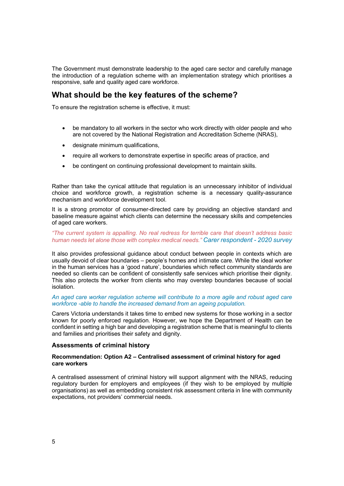The Government must demonstrate leadership to the aged care sector and carefully manage the introduction of a regulation scheme with an implementation strategy which prioritises a responsive, safe and quality aged care workforce.

## **What should be the key features of the scheme?**

To ensure the registration scheme is effective, it must:

- be mandatory to all workers in the sector who work directly with older people and who are not covered by the National Registration and Accreditation Scheme (NRAS),
- designate minimum qualifications,
- require all workers to demonstrate expertise in specific areas of practice, and
- be contingent on continuing professional development to maintain skills.

Rather than take the cynical attitude that regulation is an unnecessary inhibitor of individual choice and workforce growth, a registration scheme is a necessary quality-assurance mechanism and workforce development tool.

It is a strong promotor of consumer-directed care by providing an objective standard and baseline measure against which clients can determine the necessary skills and competencies of aged care workers.

#### *"The current system is appalling. No real redress for terrible care that doesn't address basic human needs let alone those with complex medical needs." Carer respondent - 2020 survey*

It also provides professional guidance about conduct between people in contexts which are usually devoid of clear boundaries – people's homes and intimate care. While the ideal worker in the human services has a 'good nature', boundaries which reflect community standards are needed so clients can be confident of consistently safe services which prioritise their dignity. This also protects the worker from clients who may overstep boundaries because of social isolation.

#### *An aged care worker regulation scheme will contribute to a more agile and robust aged care workforce -able to handle the increased demand from an ageing population.*

Carers Victoria understands it takes time to embed new systems for those working in a sector known for poorly enforced regulation. However, we hope the Department of Health can be confident in setting a high bar and developing a registration scheme that is meaningful to clients and families and prioritises their safety and dignity.

#### **Assessments of criminal history**

#### **Recommendation: Option A2 – Centralised assessment of criminal history for aged care workers**

A centralised assessment of criminal history will support alignment with the NRAS, reducing regulatory burden for employers and employees (if they wish to be employed by multiple organisations) as well as embedding consistent risk assessment criteria in line with community expectations, not providers' commercial needs.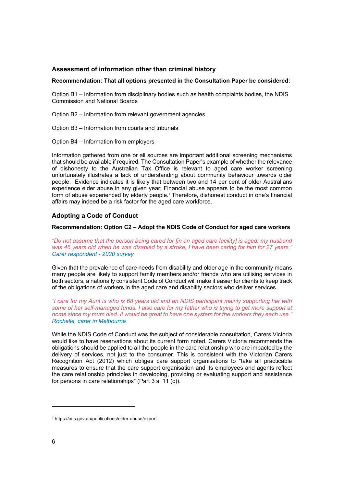#### **Assessment of information other than criminal history**

#### **Recommendation: That all options presented in the Consultation Paper be considered:**

Option B1 – Information from disciplinary bodies such as health complaints bodies, the NDIS Commission and National Boards

Option B2 – Information from relevant government agencies

Option B3 – Information from courts and tribunals

Option B4 – Information from employers

Information gathered from one or all sources are important additional screening mechanisms that should be available if required. The Consultation Paper's example of whether the relevance of dishonesty to the Australian Tax Office is relevant to aged care worker screening unfortunately illustrates a lack of understanding about community behaviour towards older people. Evidence indicates it is likely that between two and 14 per cent of older Australians experience elder abuse in any given year; Financial abuse appears to be the most common form of abuse experienced by elderly people.<sup>1</sup> Therefore, dishonest conduct in one's financial affairs may indeed be a risk factor for the aged care workforce.

#### **Adopting a Code of Conduct**

#### **Recommendation: Option C2 – Adopt the NDIS Code of Conduct for aged care workers**

*"Do not assume that the person being cared for [in an aged care facility] is aged: my husband was 46 years old when he was disabled by a stroke, I have been caring for him for 27 years." Carer respondent - 2020 survey*

Given that the prevalence of care needs from disability and older age in the community means many people are likely to support family members and/or friends who are utilising services in both sectors, a nationally consistent Code of Conduct will make it easier for clients to keep track of the obligations of workers in the aged care and disability sectors who deliver services.

*"I care for my Aunt is who is 68 years old and an NDIS participant mainly supporting her with some of her self-managed funds. I also care for my father who is trying to get more support at home since my mum died. It would be great to have one system for the workers they each use." Rochelle, carer in Melbourne*

While the NDIS Code of Conduct was the subject of considerable consultation, Carers Victoria would like to have reservations about its current form noted. Carers Victoria recommends the obligations should be applied to all the people in the care relationship who are impacted by the delivery of services, not just to the consumer. This is consistent with the Victorian Carers Recognition Act (2012) which obliges care support organisations to "take all practicable measures to ensure that the care support organisation and its employees and agents reflect the care relationship principles in developing, providing or evaluating support and assistance for persons in care relationships" (Part 3 s. 11 (c)).

<sup>1</sup> https://aifs.gov.au/publications/elder-abuse/export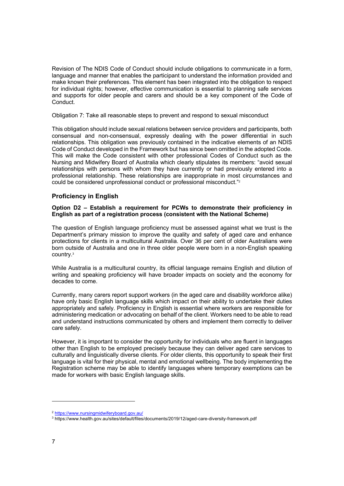Revision of The NDIS Code of Conduct should include obligations to communicate in a form, language and manner that enables the participant to understand the information provided and make known their preferences. This element has been integrated into the obligation to respect for individual rights; however, effective communication is essential to planning safe services and supports for older people and carers and should be a key component of the Code of Conduct.

Obligation 7: Take all reasonable steps to prevent and respond to sexual misconduct

This obligation should include sexual relations between service providers and participants, both consensual and non-consensual, expressly dealing with the power differential in such relationships. This obligation was previously contained in the indicative elements of an NDIS Code of Conduct developed in the Framework but has since been omitted in the adopted Code. This will make the Code consistent with other professional Codes of Conduct such as the Nursing and Midwifery Board of Australia which clearly stipulates its members: "avoid sexual relationships with persons with whom they have currently or had previously entered into a professional relationship. These relationships are inappropriate in most circumstances and could be considered unprofessional conduct or professional misconduct."2

#### **Proficiency in English**

#### **Option D2 – Establish a requirement for PCWs to demonstrate their proficiency in English as part of a registration process (consistent with the National Scheme)**

The question of English language proficiency must be assessed against what we trust is the Department's primary mission to improve the quality and safety of aged care and enhance protections for clients in a multicultural Australia. Over 36 per cent of older Australians were born outside of Australia and one in three older people were born in a non-English speaking country. 3

While Australia is a multicultural country, its official language remains English and dilution of writing and speaking proficiency will have broader impacts on society and the economy for decades to come.

Currently, many carers report support workers (in the aged care and disability workforce alike) have only basic English language skills which impact on their ability to undertake their duties appropriately and safely. Proficiency in English is essential where workers are responsible for administering medication or advocating on behalf of the client. Workers need to be able to read and understand instructions communicated by others and implement them correctly to deliver care safely.

However, it is important to consider the opportunity for individuals who are fluent in languages other than English to be employed precisely because they can deliver aged care services to culturally and linguistically diverse clients. For older clients, this opportunity to speak their first language is vital for their physical, mental and emotional wellbeing. The body implementing the Registration scheme may be able to identify languages where temporary exemptions can be made for workers with basic English language skills.

<sup>2</sup> https://www.nursingmidwiferyboard.gov.au/

<sup>3</sup> https://www.health.gov.au/sites/default/files/documents/2019/12/aged-care-diversity-framework.pdf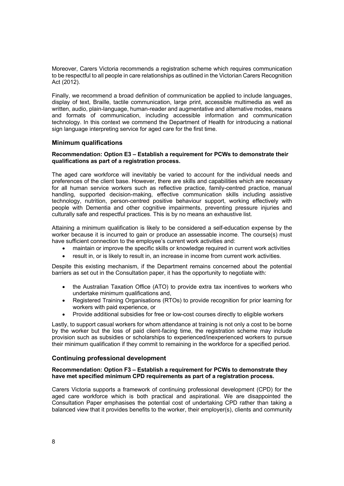Moreover, Carers Victoria recommends a registration scheme which requires communication to be respectful to all people in care relationships as outlined in the Victorian Carers Recognition Act (2012).

Finally, we recommend a broad definition of communication be applied to include languages, display of text, Braille, tactile communication, large print, accessible multimedia as well as written, audio, plain-language, human-reader and augmentative and alternative modes, means and formats of communication, including accessible information and communication technology. In this context we commend the Department of Health for introducing a national sign language interpreting service for aged care for the first time.

#### **Minimum qualifications**

#### **Recommendation: Option E3 – Establish a requirement for PCWs to demonstrate their qualifications as part of a registration process.**

The aged care workforce will inevitably be varied to account for the individual needs and preferences of the client base. However, there are skills and capabilities which are necessary for all human service workers such as reflective practice, family-centred practice, manual handling, supported decision-making, effective communication skills including assistive technology, nutrition, person-centred positive behaviour support, working effectively with people with Dementia and other cognitive impairments, preventing pressure injuries and culturally safe and respectful practices. This is by no means an exhaustive list.

Attaining a minimum qualification is likely to be considered a self-education expense by the worker because it is incurred to gain or produce an assessable income. The course(s) must have sufficient connection to the employee's current work activities and:

- maintain or improve the specific skills or knowledge required in current work activities
- result in, or is likely to result in, an increase in income from current work activities.

Despite this existing mechanism, if the Department remains concerned about the potential barriers as set out in the Consultation paper, it has the opportunity to negotiate with:

- the Australian Taxation Office (ATO) to provide extra tax incentives to workers who undertake minimum qualifications and,
- Registered Training Organisations (RTOs) to provide recognition for prior learning for workers with paid experience, or
- Provide additional subsidies for free or low-cost courses directly to eligible workers

Lastly, to support casual workers for whom attendance at training is not only a cost to be borne by the worker but the loss of paid client-facing time, the registration scheme may include provision such as subsidies or scholarships to experienced/inexperienced workers to pursue their minimum qualification if they commit to remaining in the workforce for a specified period.

#### **Continuing professional development**

#### **Recommendation: Option F3 – Establish a requirement for PCWs to demonstrate they have met specified minimum CPD requirements as part of a registration process.**

Carers Victoria supports a framework of continuing professional development (CPD) for the aged care workforce which is both practical and aspirational. We are disappointed the Consultation Paper emphasises the potential cost of undertaking CPD rather than taking a balanced view that it provides benefits to the worker, their employer(s), clients and community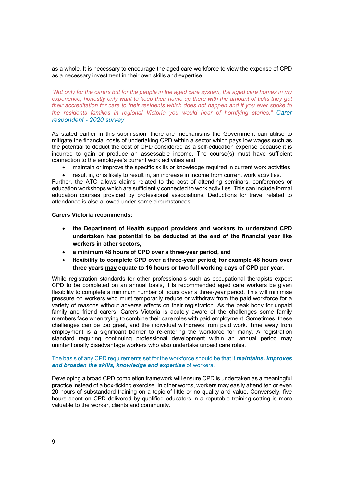as a whole. It is necessary to encourage the aged care workforce to view the expense of CPD as a necessary investment in their own skills and expertise.

*"Not only for the carers but for the people in the aged care system, the aged care homes in my experience, honestly only want to keep their name up there with the amount of ticks they get their accreditation for care to their residents which does not happen and if you ever spoke to the residents families in regional Victoria you would hear of horrifying stories." Carer respondent - 2020 survey*

As stated earlier in this submission, there are mechanisms the Government can utilise to mitigate the financial costs of undertaking CPD within a sector which pays low wages such as the potential to deduct the cost of CPD considered as a self-education expense because it is incurred to gain or produce an assessable income. The course(s) must have sufficient connection to the employee's current work activities and:

- maintain or improve the specific skills or knowledge required in current work activities
- result in, or is likely to result in, an increase in income from current work activities.

Further, the ATO allows claims related to the cost of attending seminars, conferences or education workshops which are sufficiently connected to work activities. This can include formal education courses provided by professional associations. Deductions for travel related to attendance is also allowed under some circumstances.

#### **Carers Victoria recommends:**

- **the Department of Health support providers and workers to understand CPD undertaken has potential to be deducted at the end of the financial year like workers in other sectors,**
- **a minimum 48 hours of CPD over a three-year period, and**
- **flexibility to complete CPD over a three-year period; for example 48 hours over three years may equate to 16 hours or two full working days of CPD per year.**

While registration standards for other professionals such as occupational therapists expect CPD to be completed on an annual basis, it is recommended aged care workers be given flexibility to complete a minimum number of hours over a three-year period. This will minimise pressure on workers who must temporarily reduce or withdraw from the paid workforce for a variety of reasons without adverse effects on their registration. As the peak body for unpaid family and friend carers, Carers Victoria is acutely aware of the challenges some family members face when trying to combine their care roles with paid employment. Sometimes, these challenges can be too great, and the individual withdraws from paid work. Time away from employment is a significant barrier to re-entering the workforce for many. A registration standard requiring continuing professional development within an annual period may unintentionally disadvantage workers who also undertake unpaid care roles.

#### The basis of any CPD requirements set for the workforce should be that it *maintains, improves and broaden the skills, knowledge and expertise* of workers.

Developing a broad CPD completion framework will ensure CPD is undertaken as a meaningful practice instead of a box-ticking exercise. In other words, workers may easily attend ten or even 20 hours of substandard training on a topic of little or no quality and value. Conversely, five hours spent on CPD delivered by qualified educators in a reputable training setting is more valuable to the worker, clients and community.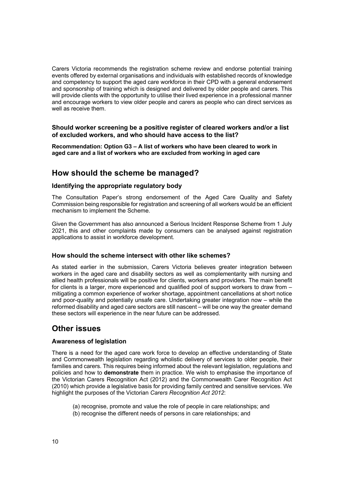Carers Victoria recommends the registration scheme review and endorse potential training events offered by external organisations and individuals with established records of knowledge and competency to support the aged care workforce in their CPD with a general endorsement and sponsorship of training which is designed and delivered by older people and carers. This will provide clients with the opportunity to utilise their lived experience in a professional manner and encourage workers to view older people and carers as people who can direct services as well as receive them.

**Should worker screening be a positive register of cleared workers and/or a list of excluded workers, and who should have access to the list?**

**Recommendation: Option G3 – A list of workers who have been cleared to work in aged care and a list of workers who are excluded from working in aged care**

## **How should the scheme be managed?**

#### **Identifying the appropriate regulatory body**

The Consultation Paper's strong endorsement of the Aged Care Quality and Safety Commission being responsible for registration and screening of all workers would be an efficient mechanism to implement the Scheme.

Given the Government has also announced a Serious Incident Response Scheme from 1 July 2021, this and other complaints made by consumers can be analysed against registration applications to assist in workforce development.

#### **How should the scheme intersect with other like schemes?**

As stated earlier in the submission, Carers Victoria believes greater integration between workers in the aged care and disability sectors as well as complementarity with nursing and allied health professionals will be positive for clients, workers and providers. The main benefit for clients is a larger, more experienced and qualified pool of support workers to draw from – mitigating a common experience of worker shortage, appointment cancellations at short notice and poor-quality and potentially unsafe care. Undertaking greater integration now – while the reformed disability and aged care sectors are still nascent – will be one way the greater demand these sectors will experience in the near future can be addressed.

## **Other issues**

#### **Awareness of legislation**

There is a need for the aged care work force to develop an effective understanding of State and Commonwealth legislation regarding wholistic delivery of services to older people, their families and carers. This requires being informed about the relevant legislation, regulations and policies and how to **demonstrate** them in practice. We wish to emphasise the importance of the Victorian Carers Recognition Act (2012) and the Commonwealth Carer Recognition Act (2010) which provide a legislative basis for providing family centred and sensitive services. We highlight the purposes of the Victorian *Carers Recognition Act 2012*:

- (a) recognise, promote and value the role of people in care relationships; and
- (b) recognise the different needs of persons in care relationships; and